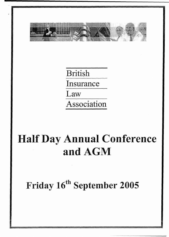

British Insurance Law\_\_\_\_\_ Association

# **Half Day Annual Conference and AGM**

**Friday 16<sup>th</sup> September**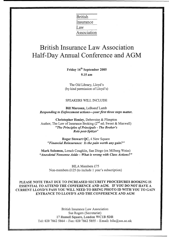British Insurance Law\_\_\_\_\_ Association

## British Insurance Law Association Half-Day Annual Conference and AGM

**Friday 16th September 2005 9.15 am**

The Old Library, Lloyd's (by kind permission of Lloyd's)

#### SPEAKERS WILL INCLUDE

**Bill Marcoux,** LeBoeuf Lamb *Responding to Enforcement actions—your first three steps matter.*

**Christopher Henley,** Debevoise & Plimpton Author, The Law of Insurance Broking (2<sup>nd</sup> ed; Sweet & Maxwell) *"The Principles of Principals - The Broker's Role post-Spitzer"*

**Roger Stewart QC,** 4 New Square *"Financial Reinsurance: Is the pain worth any gain?"*

**Mark Solomon,** Lerach Coughlin, San Diego (ex Milberg Weiss) *"Anecdotal Nonsense Aside - What is wrong with Class Actions?"*

> BILA Members £75 Non-members £125 (to include 1 year's subscription)

PLEASE NOTE THAT DUE TO INCREASED SECURITY **PROCEDURES** BOOKING IS ESSENTIAL TO ATTEND THE CONFERENCE AND AGM. IF **YOU DO NOT HAVE A** CURRENT LLOYD'S PASS YOU WILL NEED TO BRING PHOTO ID WITH YOU TO GAIN ENTRANCE TO LLOYD'S AND THE CONFERENCE AND AGM

> British Insurance Law Association Sue Rogers (Secretariat) 17 Russell Square, London WC1B 5DR Tel: 020 7862 5864 - Fax: 020 7862 5855 - Email: bila@sas.ac.uk